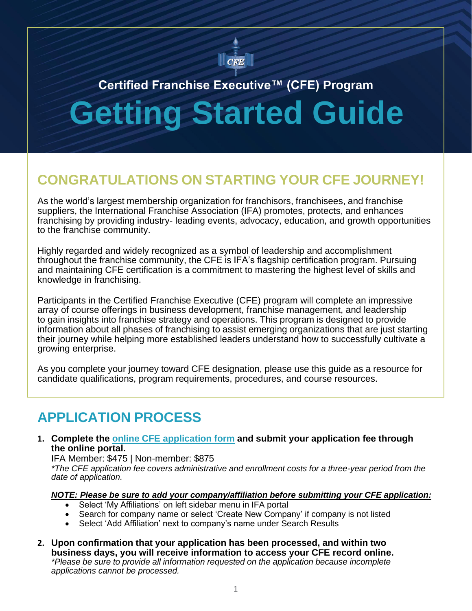

# **Certified Franchise Executive™ (CFE) Program Getting Started Guide**

# **CONGRATULATIONS ON STARTING YOUR CFE JOURNEY!**

As the world's largest membership organization for franchisors, franchisees, and franchise suppliers, the International Franchise Association (IFA) promotes, protects, and enhances franchising by providing industry- leading events, advocacy, education, and growth opportunities to the franchise community.

Highly regarded and widely recognized as a symbol of leadership and accomplishment throughout the franchise community, the CFE is IFA's flagship certification program. Pursuing and maintaining CFE certification is a commitment to mastering the highest level of skills and knowledge in franchising.

Participants in the Certified Franchise Executive (CFE) program will complete an impressive array of course offerings in business development, franchise management, and leadership to gain insights into franchise strategy and operations. This program is designed to provide information about all phases of franchising to assist emerging organizations that are just starting their journey while helping more established leaders understand how to successfully cultivate a growing enterprise.

As you complete your journey toward CFE designation, please use this guide as a resource for candidate qualifications, program requirements, procedures, and course resources.

### **APPLICATION PROCESS**

**1. Complete the online CFE [application](https://member.franchise.org/NC__Login?startURL=%2Fcfeaccount) form and submit your application fee through the online portal.**

IFA Member: \$475 | Non-member: \$875

*\*The CFE application fee covers administrative and enrollment costs for a three-year period from the date of application.*

*NOTE: Please be sure to add your company/affiliation before submitting your CFE application:*

- Select 'My Affiliations' on left sidebar menu in IFA portal
- Search for company name or select 'Create New Company' if company is not listed
- Select 'Add Affiliation' next to company's name under Search Results
- **2. Upon confirmation that your application has been processed, and within two business days, you will receive information to access your CFE record online.** *\*Please be sure to provide all information requested on the application because incomplete applications cannot be processed.*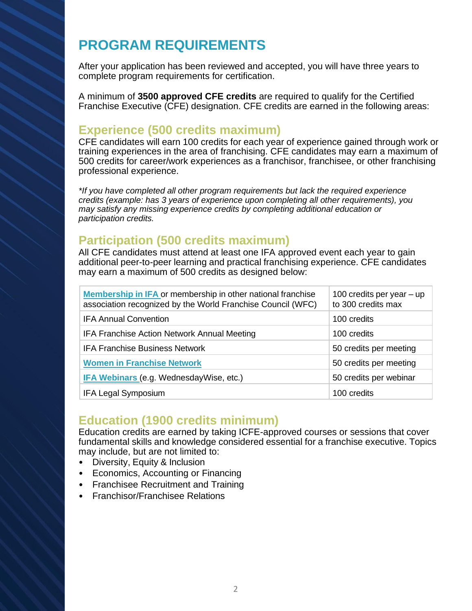# **PROGRAM REQUIREMENTS**

After your application has been reviewed and accepted, you will have three years to complete program requirements for certification.

A minimum of **3500 approved CFE credits** are required to qualify for the Certified Franchise Executive (CFE) designation. CFE credits are earned in the following areas:

### **Experience (500 credits maximum)**

CFE candidates will earn 100 credits for each year of experience gained through work or training experiences in the area of franchising. CFE candidates may earn a maximum of 500 credits for career/work experiences as a franchisor, franchisee, or other franchising professional experience.

*\*If you have completed all other program requirements but lack the required experience credits (example: has 3 years of experience upon completing all other requirements), you may satisfy any missing experience credits by completing additional education or participation credits.*

### **Participation (500 credits maximum)**

All CFE candidates must attend at least one IFA approved event each year to gain additional peer-to-peer learning and practical franchising experience. CFE candidates may earn a maximum of 500 credits as designed below:

| <b>Membership in IFA or membership in other national franchise</b><br>association recognized by the World Franchise Council (WFC) | 100 credits per year $-$ up<br>to 300 credits max |
|-----------------------------------------------------------------------------------------------------------------------------------|---------------------------------------------------|
| <b>IFA Annual Convention</b>                                                                                                      | 100 credits                                       |
| IFA Franchise Action Network Annual Meeting                                                                                       | 100 credits                                       |
| <b>IFA Franchise Business Network</b>                                                                                             | 50 credits per meeting                            |
| <b>Women in Franchise Network</b>                                                                                                 | 50 credits per meeting                            |
| <b>IFA Webinars (e.g. WednesdayWise, etc.)</b>                                                                                    | 50 credits per webinar                            |
| <b>IFA Legal Symposium</b>                                                                                                        | 100 credits                                       |

### **Education (1900 credits minimum)**

Education credits are earned by taking ICFE-approved courses or sessions that cover fundamental skills and knowledge considered essential for a franchise executive. Topics may include, but are not limited to:

- Diversity, Equity & Inclusion
- Economics, Accounting or Financing
- Franchisee Recruitment and Training
- Franchisor/Franchisee Relations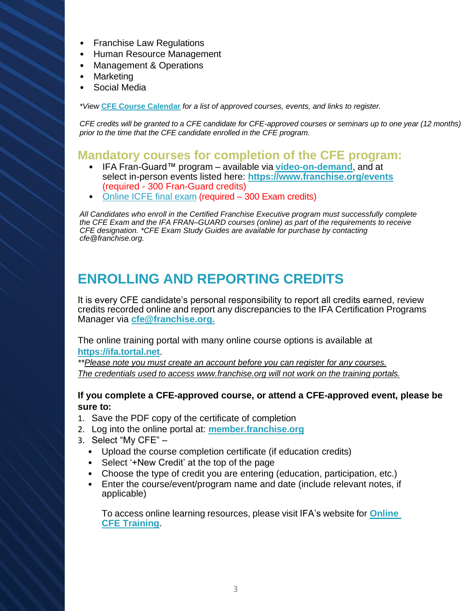- Franchise Law Regulations
- Human Resource Management
- Management & Operations
- **Marketing**
- Social Media

*\*View* **[CFE Course Calendar](https://www.franchise.org/cfe-courses-and-events)** *for a list of approved courses, events, and links to register.*

*CFE credits will be granted to a CFE candidate for CFE-approved courses or seminars up to one year (12 months) prior to the time that the CFE candidate enrolled in the CFE program.*

#### **Mandatory courses for completion of the CFE program:**

- IFA Fran-Guard™ program available via **[video-on-demand](https://beacon360.content.online/xbcs/S1543/catalog/product.xhtml?eid=7259)**, and at select in-person events listed here: **<https://www.franchise.org/events>** (required - 300 Fran-Guard credits)
- [Online](https://ifa.tortal.net/catalog/searchcatalog.asp?srch=final+exam) ICFE final exam (required 300 Exam credits)

*All Candidates who enroll in the Certified Franchise Executive program must successfully complete the CFE Exam and the IFA FRAN–GUARD courses (online) as part of the requirements to receive CFE designation. \*CFE Exam Study Guides are available for purchase by contacting [cfe@franchise.org.](mailto:cfe@franchise.org)*

### **ENROLLING AND REPORTING CREDITS**

It is every CFE candidate's personal responsibility to report all credits earned, review credits recorded online and report any discrepancies to the IFA Certification Programs Manager via **[cfe@franchise.org.](mailto:cfe@franchise.org)**

The online training portal with many online course options is available at **[https://ifa.tortal.net](https://ifa.tortal.net/)**.

*\*\*Please note you must create an account before you can register for any courses. The credentials used to access www.franchise.org will not work on the training portals.*

#### **If you complete a CFE-approved course, or attend a CFE-approved event, please be sure to:**

- 1. Save the PDF copy of the certificate of completion
- 2. Log into the online portal at: **[member.franchise.org](https://member.franchise.org/)**
- 3. Select "My CFE"
	- Upload the course completion certificate (if education credits)
	- Select '+New Credit' at the top of the page
	- Choose the type of credit you are entering (education, participation, etc.)
	- Enter the course/event/program name and date (include relevant notes, if applicable)

To access online learning resources, please visit IFA's website for **[Online](https://www.franchise.org/online-cfe-training)  [CFE Training](https://www.franchise.org/online-cfe-training)**.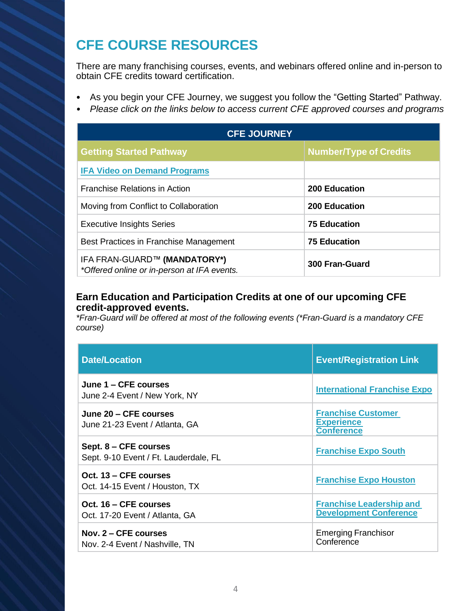# **CFE COURSE RESOURCES**

There are many franchising courses, events, and webinars offered online and in-person to obtain CFE credits toward certification.

- As you begin your CFE Journey, we suggest you follow the "Getting Started" Pathway.
- *• Please click on the links below to access current CFE approved courses and programs*

| <b>CFE JOURNEY</b>                                                          |                               |  |
|-----------------------------------------------------------------------------|-------------------------------|--|
| <b>Getting Started Pathway</b>                                              | <b>Number/Type of Credits</b> |  |
| <b>IFA Video on Demand Programs</b>                                         |                               |  |
| <b>Franchise Relations in Action</b>                                        | 200 Education                 |  |
| Moving from Conflict to Collaboration                                       | <b>200 Education</b>          |  |
| <b>Executive Insights Series</b>                                            | <b>75 Education</b>           |  |
| Best Practices in Franchise Management                                      | <b>75 Education</b>           |  |
| IFA FRAN-GUARD™ (MANDATORY*)<br>*Offered online or in-person at IFA events. | 300 Fran-Guard                |  |

#### **Earn Education and Participation Credits at one of our upcoming CFE credit-approved events.**

*\*Fran-Guard will be offered at most of the following events (\*Fran-Guard is a mandatory CFE course)*

| <b>Date/Location</b>                                           | <b>Event/Registration Link</b>                                      |
|----------------------------------------------------------------|---------------------------------------------------------------------|
| June 1 – CFE courses<br>June 2-4 Event / New York, NY          | <b>International Franchise Expo</b>                                 |
| June 20 – CFE courses<br>June 21-23 Event / Atlanta, GA        | <b>Franchise Customer</b><br><b>Experience</b><br><b>Conference</b> |
| Sept. 8 – CFE courses<br>Sept. 9-10 Event / Ft. Lauderdale, FL | <b>Franchise Expo South</b>                                         |
| Oct. 13 – CFE courses<br>Oct. 14-15 Event / Houston, TX        | <b>Franchise Expo Houston</b>                                       |
| Oct. 16 – CFE courses<br>Oct. 17-20 Event / Atlanta, GA        | <b>Franchise Leadership and</b><br><b>Development Conference</b>    |
| Nov. $2 - CFE$ courses<br>Nov. 2-4 Event / Nashville, TN       | <b>Emerging Franchisor</b><br>Conference                            |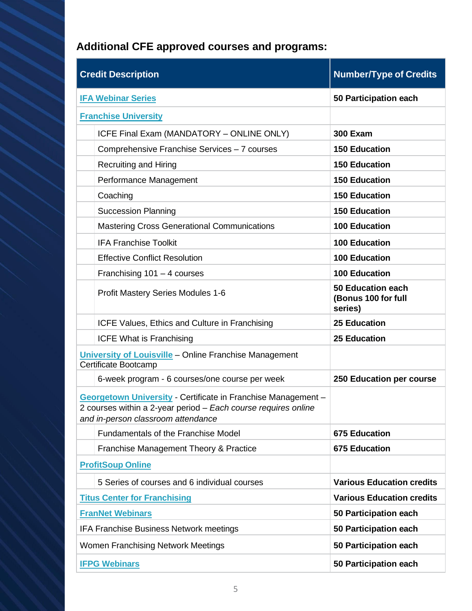# **Additional CFE approved courses and programs:**

| <b>Credit Description</b>                                                                                                                                                    | <b>Number/Type of Credits</b>                              |
|------------------------------------------------------------------------------------------------------------------------------------------------------------------------------|------------------------------------------------------------|
| <b>IFA Webinar Series</b>                                                                                                                                                    | 50 Participation each                                      |
| <b>Franchise University</b>                                                                                                                                                  |                                                            |
| ICFE Final Exam (MANDATORY - ONLINE ONLY)                                                                                                                                    | <b>300 Exam</b>                                            |
| Comprehensive Franchise Services - 7 courses                                                                                                                                 | <b>150 Education</b>                                       |
| <b>Recruiting and Hiring</b>                                                                                                                                                 | <b>150 Education</b>                                       |
| Performance Management                                                                                                                                                       | <b>150 Education</b>                                       |
| Coaching                                                                                                                                                                     | <b>150 Education</b>                                       |
| <b>Succession Planning</b>                                                                                                                                                   | <b>150 Education</b>                                       |
| <b>Mastering Cross Generational Communications</b>                                                                                                                           | <b>100 Education</b>                                       |
| <b>IFA Franchise Toolkit</b>                                                                                                                                                 | <b>100 Education</b>                                       |
| <b>Effective Conflict Resolution</b>                                                                                                                                         | <b>100 Education</b>                                       |
| Franchising $101 - 4$ courses                                                                                                                                                | <b>100 Education</b>                                       |
| Profit Mastery Series Modules 1-6                                                                                                                                            | <b>50 Education each</b><br>(Bonus 100 for full<br>series) |
| ICFE Values, Ethics and Culture in Franchising                                                                                                                               | <b>25 Education</b>                                        |
| <b>ICFE What is Franchising</b>                                                                                                                                              | <b>25 Education</b>                                        |
| University of Louisville - Online Franchise Management<br>Certificate Bootcamp                                                                                               |                                                            |
| 6-week program - 6 courses/one course per week                                                                                                                               | 250 Education per course                                   |
| <b>Georgetown University - Certificate in Franchise Management -</b><br>2 courses within a 2-year period - Each course requires online<br>and in-person classroom attendance |                                                            |
| <b>Fundamentals of the Franchise Model</b>                                                                                                                                   | <b>675 Education</b>                                       |
| Franchise Management Theory & Practice                                                                                                                                       | <b>675 Education</b>                                       |
| <b>ProfitSoup Online</b>                                                                                                                                                     |                                                            |
| 5 Series of courses and 6 individual courses                                                                                                                                 | <b>Various Education credits</b>                           |
| <b>Titus Center for Franchising</b>                                                                                                                                          | <b>Various Education credits</b>                           |
| <b>FranNet Webinars</b>                                                                                                                                                      | 50 Participation each                                      |
| <b>IFA Franchise Business Network meetings</b>                                                                                                                               | 50 Participation each                                      |
| Women Franchising Network Meetings                                                                                                                                           | 50 Participation each                                      |
| <b>IFPG Webinars</b>                                                                                                                                                         | 50 Participation each                                      |